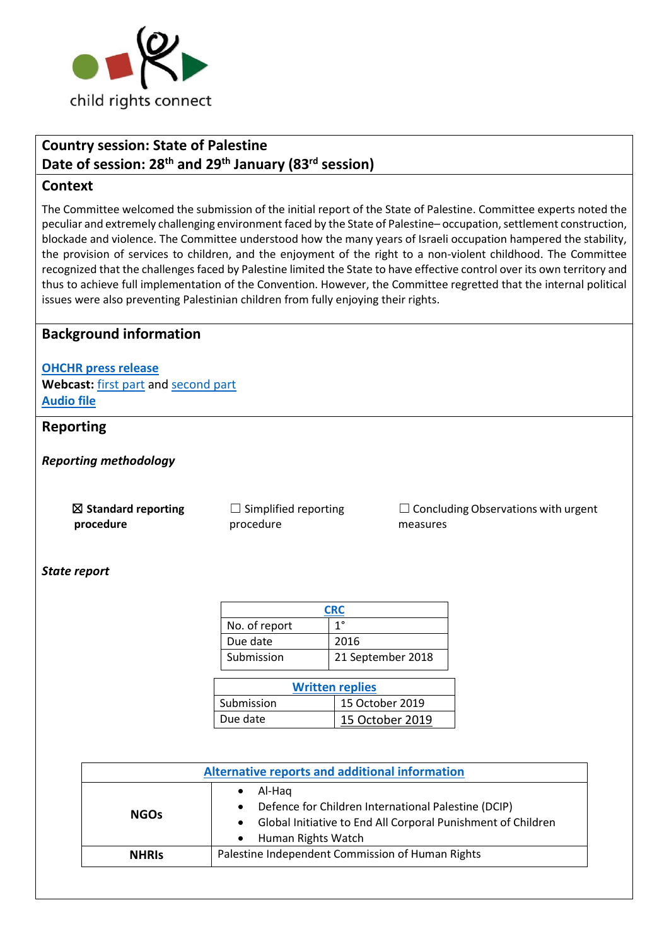

# **Country session: State of Palestine Date of session: 28th and 29th January (83rd session)**

## **Context**

The Committee welcomed the submission of the initial report of the State of Palestine. Committee experts noted the peculiar and extremely challenging environment faced by the State of Palestine– occupation, settlement construction, blockade and violence. The Committee understood how the many years of Israeli occupation hampered the stability, the provision of services to children, and the enjoyment of the right to a non-violent childhood. The Committee recognized that the challenges faced by Palestine limited the State to have effective control over its own territory and thus to achieve full implementation of the Convention. However, the Committee regretted that the internal political issues were also preventing Palestinian children from fully enjoying their rights.

## **Background information**

**[OHCHR press release](https://www.ohchr.org/EN/NewsEvents/Pages/DisplayNews.aspx?NewsID=25508&LangID=E)** Webcast: [first part](http://webtv.un.org/meetings-events/human-rights-treaty-bodies/committee-on-the-rights-of-the-child/watch/consideration-of-state-of-palestine-2444th-meeting-83rd-session-committee-on-the-rights-of-the-child/6127317613001) an[d second part](http://webtv.un.org/meetings-events/human-rights-treaty-bodies/committee-on-the-rights-of-the-child/watch/consideration-of-state-of-palestine-contd-2445th-meeting-83rd-session-committee-on-the-rights-of-the-child/6127772375001/?term=) **[Audio file](https://conf.unog.ch/digitalrecordings/)**

## **Reporting**

*Reporting methodology*

☒ **Standard reporting procedure**

 $\Box$  Simplified reporting procedure

 $\Box$  Concluding Observations with urgent measures

#### *State report*

| <b>CRC</b>             |                   |  |  |
|------------------------|-------------------|--|--|
| No. of report          | 1°                |  |  |
| Due date               | 2016              |  |  |
| Submission             | 21 September 2018 |  |  |
| <b>Written replies</b> |                   |  |  |
| Submission             | 15 October 2019   |  |  |
| Due date               | 15 October 2019   |  |  |

| <b>Alternative reports and additional information</b> |                                                                                                                                                     |  |
|-------------------------------------------------------|-----------------------------------------------------------------------------------------------------------------------------------------------------|--|
| <b>NGOs</b>                                           | Al-Hag<br>Defence for Children International Palestine (DCIP)<br>Global Initiative to End All Corporal Punishment of Children<br>Human Rights Watch |  |
| <b>NHRIS</b>                                          | Palestine Independent Commission of Human Rights                                                                                                    |  |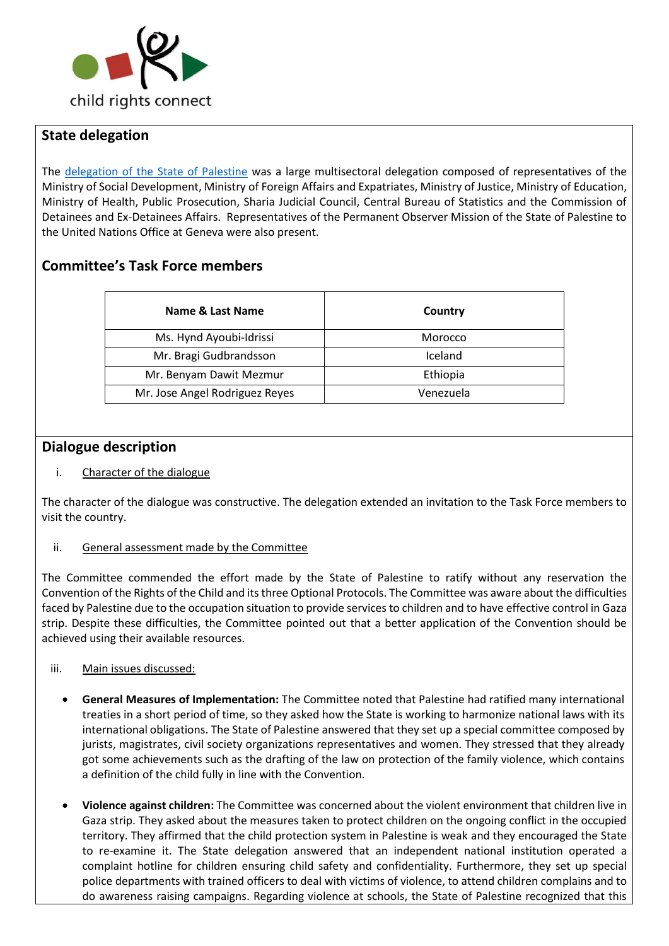

# **State delegation**

The [delegation of the State of Palestine](https://tbinternet.ohchr.org/Treaties/CRC/Shared%20Documents/PSE/INT_CRC_LOP_PSE_41140_E.pdf) was a large multisectoral delegation composed of representatives of the Ministry of Social Development, Ministry of Foreign Affairs and Expatriates, Ministry of Justice, Ministry of Education, Ministry of Health, Public Prosecution, Sharia Judicial Council, Central Bureau of Statistics and the Commission of Detainees and Ex-Detainees Affairs. Representatives of the Permanent Observer Mission of the State of Palestine to the United Nations Office at Geneva were also present.

# **Committee's Task Force members**

| Name & Last Name               | Country   |
|--------------------------------|-----------|
| Ms. Hynd Ayoubi-Idrissi        | Morocco   |
| Mr. Bragi Gudbrandsson         | Iceland   |
| Mr. Benyam Dawit Mezmur        | Ethiopia  |
| Mr. Jose Angel Rodriguez Reyes | Venezuela |

## **Dialogue description**

### i. Character of the dialogue

The character of the dialogue was constructive. The delegation extended an invitation to the Task Force members to visit the country.

#### ii. General assessment made by the Committee

The Committee commended the effort made by the State of Palestine to ratify without any reservation the Convention of the Rights of the Child and its three Optional Protocols. The Committee was aware about the difficulties faced by Palestine due to the occupation situation to provide services to children and to have effective control in Gaza strip. Despite these difficulties, the Committee pointed out that a better application of the Convention should be achieved using their available resources.

#### iii. Main issues discussed:

- **General Measures of Implementation:** The Committee noted that Palestine had ratified many international treaties in a short period of time, so they asked how the State is working to harmonize national laws with its international obligations. The State of Palestine answered that they set up a special committee composed by jurists, magistrates, civil society organizations representatives and women. They stressed that they already got some achievements such as the drafting of the law on protection of the family violence, which contains a definition of the child fully in line with the Convention.
- **Violence against children:** The Committee was concerned about the violent environment that children live in Gaza strip. They asked about the measures taken to protect children on the ongoing conflict in the occupied territory. They affirmed that the child protection system in Palestine is weak and they encouraged the State to re-examine it. The State delegation answered that an independent national institution operated a complaint hotline for children ensuring child safety and confidentiality. Furthermore, they set up special police departments with trained officers to deal with victims of violence, to attend children complains and to do awareness raising campaigns. Regarding violence at schools, the State of Palestine recognized that this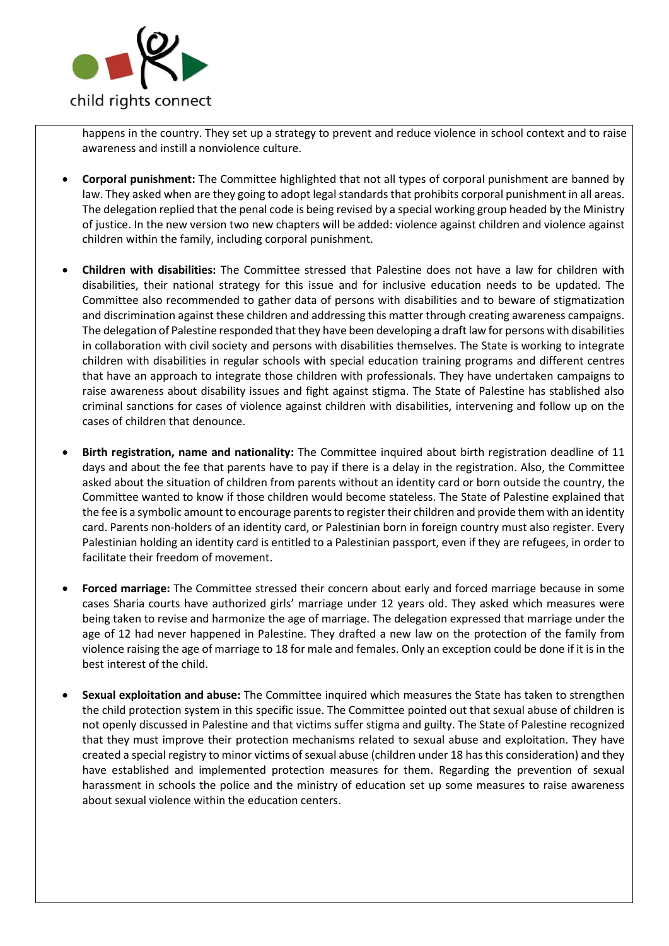

happens in the country. They set up a strategy to prevent and reduce violence in school context and to raise awareness and instill a nonviolence culture.

- **Corporal punishment:** The Committee highlighted that not all types of corporal punishment are banned by law. They asked when are they going to adopt legal standards that prohibits corporal punishment in all areas. The delegation replied that the penal code is being revised by a special working group headed by the Ministry of justice. In the new version two new chapters will be added: violence against children and violence against children within the family, including corporal punishment.
- **Children with disabilities:** The Committee stressed that Palestine does not have a law for children with disabilities, their national strategy for this issue and for inclusive education needs to be updated. The Committee also recommended to gather data of persons with disabilities and to beware of stigmatization and discrimination against these children and addressing this matter through creating awareness campaigns. The delegation of Palestine responded that they have been developing a draft law for persons with disabilities in collaboration with civil society and persons with disabilities themselves. The State is working to integrate children with disabilities in regular schools with special education training programs and different centres that have an approach to integrate those children with professionals. They have undertaken campaigns to raise awareness about disability issues and fight against stigma. The State of Palestine has stablished also criminal sanctions for cases of violence against children with disabilities, intervening and follow up on the cases of children that denounce.
- **Birth registration, name and nationality:** The Committee inquired about birth registration deadline of 11 days and about the fee that parents have to pay if there is a delay in the registration. Also, the Committee asked about the situation of children from parents without an identity card or born outside the country, the Committee wanted to know if those children would become stateless. The State of Palestine explained that the fee is a symbolic amount to encourage parents to register their children and provide them with an identity card. Parents non-holders of an identity card, or Palestinian born in foreign country must also register. Every Palestinian holding an identity card is entitled to a Palestinian passport, even if they are refugees, in order to facilitate their freedom of movement.
- **Forced marriage:** The Committee stressed their concern about early and forced marriage because in some cases Sharia courts have authorized girls' marriage under 12 years old. They asked which measures were being taken to revise and harmonize the age of marriage. The delegation expressed that marriage under the age of 12 had never happened in Palestine. They drafted a new law on the protection of the family from violence raising the age of marriage to 18 for male and females. Only an exception could be done if it is in the best interest of the child.
- **Sexual exploitation and abuse:** The Committee inquired which measures the State has taken to strengthen the child protection system in this specific issue. The Committee pointed out that sexual abuse of children is not openly discussed in Palestine and that victims suffer stigma and guilty. The State of Palestine recognized that they must improve their protection mechanisms related to sexual abuse and exploitation. They have created a special registry to minor victims of sexual abuse (children under 18 has this consideration) and they have established and implemented protection measures for them. Regarding the prevention of sexual harassment in schools the police and the ministry of education set up some measures to raise awareness about sexual violence within the education centers.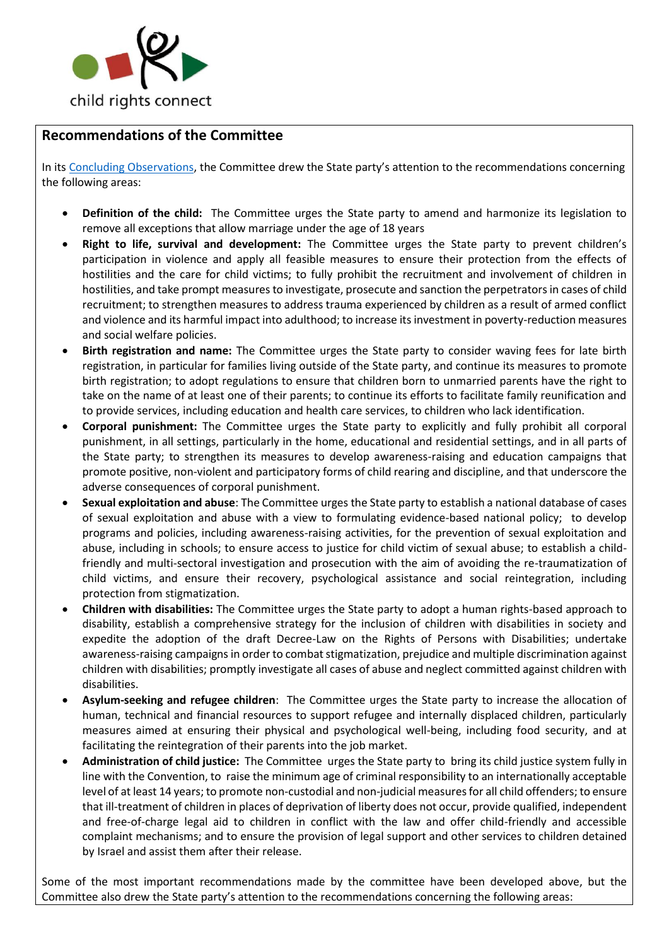

# **Recommendations of the Committee**

In its [Concluding Observations,](https://tbinternet.ohchr.org/Treaties/CRC/Shared%20Documents/PSE/CRC_C_PSE_CO_1_41513_E.pdf) the Committee drew the State party's attention to the recommendations concerning the following areas:

- **Definition of the child:** The Committee urges the State party to amend and harmonize its legislation to remove all exceptions that allow marriage under the age of 18 years
- **Right to life, survival and development:** The Committee urges the State party to prevent children's participation in violence and apply all feasible measures to ensure their protection from the effects of hostilities and the care for child victims; to fully prohibit the recruitment and involvement of children in hostilities, and take prompt measures to investigate, prosecute and sanction the perpetrators in cases of child recruitment; to strengthen measures to address trauma experienced by children as a result of armed conflict and violence and its harmful impact into adulthood; to increase its investment in poverty-reduction measures and social welfare policies.
- **Birth registration and name:** The Committee urges the State party to consider waving fees for late birth registration, in particular for families living outside of the State party, and continue its measures to promote birth registration; to adopt regulations to ensure that children born to unmarried parents have the right to take on the name of at least one of their parents; to continue its efforts to facilitate family reunification and to provide services, including education and health care services, to children who lack identification.
- **Corporal punishment:** The Committee urges the State party to explicitly and fully prohibit all corporal punishment, in all settings, particularly in the home, educational and residential settings, and in all parts of the State party; to strengthen its measures to develop awareness-raising and education campaigns that promote positive, non-violent and participatory forms of child rearing and discipline, and that underscore the adverse consequences of corporal punishment.
- **Sexual exploitation and abuse**: The Committee urges the State party to establish a national database of cases of sexual exploitation and abuse with a view to formulating evidence-based national policy; to develop programs and policies, including awareness-raising activities, for the prevention of sexual exploitation and abuse, including in schools; to ensure access to justice for child victim of sexual abuse; to establish a childfriendly and multi-sectoral investigation and prosecution with the aim of avoiding the re-traumatization of child victims, and ensure their recovery, psychological assistance and social reintegration, including protection from stigmatization.
- **Children with disabilities:** The Committee urges the State party to adopt a human rights-based approach to disability, establish a comprehensive strategy for the inclusion of children with disabilities in society and expedite the adoption of the draft Decree-Law on the Rights of Persons with Disabilities; undertake awareness-raising campaigns in order to combat stigmatization, prejudice and multiple discrimination against children with disabilities; promptly investigate all cases of abuse and neglect committed against children with disabilities.
- **Asylum-seeking and refugee children**: The Committee urges the State party to increase the allocation of human, technical and financial resources to support refugee and internally displaced children, particularly measures aimed at ensuring their physical and psychological well-being, including food security, and at facilitating the reintegration of their parents into the job market.
- **Administration of child justice:** The Committee urges the State party to bring its child justice system fully in line with the Convention, to raise the minimum age of criminal responsibility to an internationally acceptable level of at least 14 years; to promote non-custodial and non-judicial measures for all child offenders; to ensure that ill-treatment of children in places of deprivation of liberty does not occur, provide qualified, independent and free-of-charge legal aid to children in conflict with the law and offer child-friendly and accessible complaint mechanisms; and to ensure the provision of legal support and other services to children detained by Israel and assist them after their release.

Some of the most important recommendations made by the committee have been developed above, but the Committee also drew the State party's attention to the recommendations concerning the following areas: